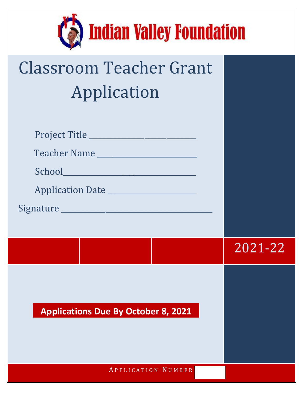

| <b>Classroom Teacher Grant</b> |  |  |  |  |
|--------------------------------|--|--|--|--|
| Application                    |  |  |  |  |

| Teacher Name                               |         |
|--------------------------------------------|---------|
| School                                     |         |
| Application Date ______________________    |         |
|                                            |         |
|                                            |         |
|                                            | 2021-22 |
| <b>Applications Due By October 8, 2021</b> |         |
| APPLICATION NUMBER                         |         |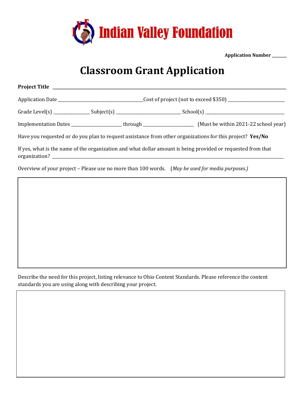

**Application Number \_\_\_\_\_\_\_\_**

## **Classroom Grant Application**

| _Cost of project (not to exceed \$350) ________________________ |  |                                                                                                                        |
|-----------------------------------------------------------------|--|------------------------------------------------------------------------------------------------------------------------|
|                                                                 |  |                                                                                                                        |
|                                                                 |  | Implementation Dates ________________________through ____________________________ (Must be within 2021-22 school year) |
|                                                                 |  | Have you requested or do you plan to request assistance from other organizations for this project? Yes/No              |
|                                                                 |  | If yes, what is the name of the organization and what dollar amount is being provided or requested from that           |

Overview of your project – Please use no more than 100 words. (*May be used for media purposes.)*

Describe the need for this project, listing relevance to Ohio Content Standards. Please reference the content standards you are using along with describing your project.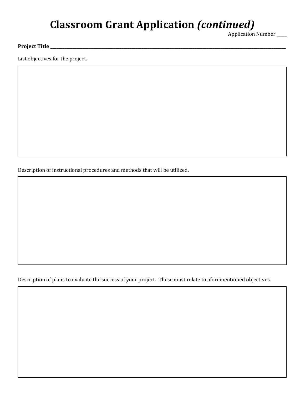## **Classroom Grant Application** *(continued)*

Application Number \_\_\_\_\_

## **Project Title \_\_\_\_\_\_\_\_\_\_\_\_\_\_\_\_\_\_\_\_\_\_\_\_\_\_\_\_\_\_\_\_\_\_\_\_\_\_\_\_\_\_\_\_\_\_\_\_\_\_\_\_\_\_\_\_\_\_\_\_\_\_\_\_\_\_\_\_\_\_\_\_\_\_\_\_\_\_\_\_\_\_\_\_\_\_\_\_\_\_\_\_\_\_\_\_\_\_\_\_\_\_\_\_\_\_\_\_\_\_\_\_\_\_\_\_**

List objectives for the project.

Description of instructional procedures and methods that will be utilized.

Description of plans to evaluate the success of your project. These must relate to aforementioned objectives.